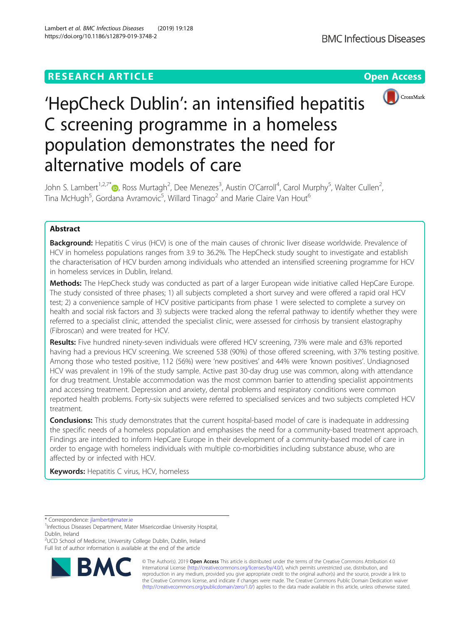## **RESEARCH ARTICLE Example 2018 12:30 The Contract of Contract Access**



# 'HepCheck Dublin': an intensified hepatitis C screening programme in a homeless population demonstrates the need for alternative models of care

John S. Lambert<sup>1,2,7[\\*](http://orcid.org/0000-0001-5404-2415)</sup>®, Ross Murtagh<sup>2</sup>, Dee Menezes<sup>3</sup>, Austin O'Carroll<sup>4</sup>, Carol Murphy<sup>5</sup>, Walter Cullen<sup>2</sup> , Tina McHugh<sup>5</sup>, Gordana Avramovic<sup>5</sup>, Willard Tinago<sup>2</sup> and Marie Claire Van Hout<sup>6</sup>

## Abstract

**Background:** Hepatitis C virus (HCV) is one of the main causes of chronic liver disease worldwide. Prevalence of HCV in homeless populations ranges from 3.9 to 36.2%. The HepCheck study sought to investigate and establish the characterisation of HCV burden among individuals who attended an intensified screening programme for HCV in homeless services in Dublin, Ireland.

Methods: The HepCheck study was conducted as part of a larger European wide initiative called HepCare Europe. The study consisted of three phases; 1) all subjects completed a short survey and were offered a rapid oral HCV test; 2) a convenience sample of HCV positive participants from phase 1 were selected to complete a survey on health and social risk factors and 3) subjects were tracked along the referral pathway to identify whether they were referred to a specialist clinic, attended the specialist clinic, were assessed for cirrhosis by transient elastography (Fibroscan) and were treated for HCV.

Results: Five hundred ninety-seven individuals were offered HCV screening, 73% were male and 63% reported having had a previous HCV screening. We screened 538 (90%) of those offered screening, with 37% testing positive. Among those who tested positive, 112 (56%) were 'new positives' and 44% were 'known positives'. Undiagnosed HCV was prevalent in 19% of the study sample. Active past 30-day drug use was common, along with attendance for drug treatment. Unstable accommodation was the most common barrier to attending specialist appointments and accessing treatment. Depression and anxiety, dental problems and respiratory conditions were common reported health problems. Forty-six subjects were referred to specialised services and two subjects completed HCV treatment.

**Conclusions:** This study demonstrates that the current hospital-based model of care is inadequate in addressing the specific needs of a homeless population and emphasises the need for a community-based treatment approach. Findings are intended to inform HepCare Europe in their development of a community-based model of care in order to engage with homeless individuals with multiple co-morbidities including substance abuse, who are affected by or infected with HCV.

Keywords: Hepatitis C virus, HCV, homeless

\* Correspondence: [jlambert@mater.ie](mailto:jlambert@mater.ie) <sup>1</sup>

<sup>2</sup>UCD School of Medicine, University College Dublin, Dublin, Ireland Full list of author information is available at the end of the article



© The Author(s). 2019 **Open Access** This article is distributed under the terms of the Creative Commons Attribution 4.0 International License [\(http://creativecommons.org/licenses/by/4.0/](http://creativecommons.org/licenses/by/4.0/)), which permits unrestricted use, distribution, and reproduction in any medium, provided you give appropriate credit to the original author(s) and the source, provide a link to the Creative Commons license, and indicate if changes were made. The Creative Commons Public Domain Dedication waiver [\(http://creativecommons.org/publicdomain/zero/1.0/](http://creativecommons.org/publicdomain/zero/1.0/)) applies to the data made available in this article, unless otherwise stated.

<sup>&</sup>lt;sup>1</sup>Infectious Diseases Department, Mater Misericordiae University Hospital, Dublin, Ireland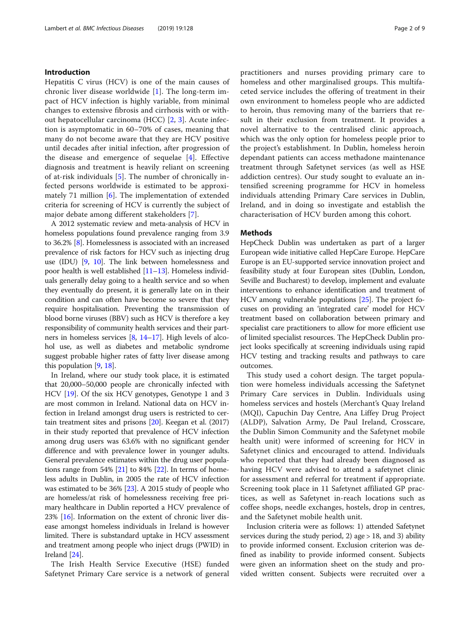#### Introduction

Hepatitis C virus (HCV) is one of the main causes of chronic liver disease worldwide [[1\]](#page-7-0). The long-term impact of HCV infection is highly variable, from minimal changes to extensive fibrosis and cirrhosis with or without hepatocellular carcinoma (HCC) [[2,](#page-7-0) [3\]](#page-7-0). Acute infection is asymptomatic in 60–70% of cases, meaning that many do not become aware that they are HCV positive until decades after initial infection, after progression of the disease and emergence of sequelae [[4](#page-7-0)]. Effective diagnosis and treatment is heavily reliant on screening of at-risk individuals [\[5](#page-7-0)]. The number of chronically infected persons worldwide is estimated to be approximately 71 million [[6\]](#page-7-0). The implementation of extended criteria for screening of HCV is currently the subject of major debate among different stakeholders [[7\]](#page-7-0).

A 2012 systematic review and meta-analysis of HCV in homeless populations found prevalence ranging from 3.9 to 36.2% [[8](#page-7-0)]. Homelessness is associated with an increased prevalence of risk factors for HCV such as injecting drug use (IDU) [\[9](#page-8-0), [10\]](#page-8-0). The link between homelessness and poor health is well established [\[11](#page-8-0)–[13](#page-8-0)]. Homeless individuals generally delay going to a health service and so when they eventually do present, it is generally late on in their condition and can often have become so severe that they require hospitalisation. Preventing the transmission of blood borne viruses (BBV) such as HCV is therefore a key responsibility of community health services and their partners in homeless services [[8](#page-7-0), [14](#page-8-0)–[17](#page-8-0)]. High levels of alcohol use, as well as diabetes and metabolic syndrome suggest probable higher rates of fatty liver disease among this population [[9,](#page-8-0) [18\]](#page-8-0).

In Ireland, where our study took place, it is estimated that 20,000–50,000 people are chronically infected with HCV [\[19\]](#page-8-0). Of the six HCV genotypes, Genotype 1 and 3 are most common in Ireland. National data on HCV infection in Ireland amongst drug users is restricted to certain treatment sites and prisons [[20](#page-8-0)]. Keegan et al. (2017) in their study reported that prevalence of HCV infection among drug users was 63.6% with no significant gender difference and with prevalence lower in younger adults. General prevalence estimates within the drug user populations range from 54%  $[21]$  to 84%  $[22]$  $[22]$ . In terms of homeless adults in Dublin, in 2005 the rate of HCV infection was estimated to be 36% [[23](#page-8-0)]. A 2015 study of people who are homeless/at risk of homelessness receiving free primary healthcare in Dublin reported a HCV prevalence of 23% [[16\]](#page-8-0). Information on the extent of chronic liver disease amongst homeless individuals in Ireland is however limited. There is substandard uptake in HCV assessment and treatment among people who inject drugs (PWID) in Ireland [[24](#page-8-0)].

The Irish Health Service Executive (HSE) funded Safetynet Primary Care service is a network of general practitioners and nurses providing primary care to homeless and other marginalised groups. This multifaceted service includes the offering of treatment in their own environment to homeless people who are addicted to heroin, thus removing many of the barriers that result in their exclusion from treatment. It provides a novel alternative to the centralised clinic approach, which was the only option for homeless people prior to the project's establishment. In Dublin, homeless heroin dependant patients can access methadone maintenance treatment through Safetynet services (as well as HSE addiction centres). Our study sought to evaluate an intensified screening programme for HCV in homeless individuals attending Primary Care services in Dublin, Ireland, and in doing so investigate and establish the characterisation of HCV burden among this cohort.

#### **Methods**

HepCheck Dublin was undertaken as part of a larger European wide initiative called HepCare Europe. HepCare Europe is an EU-supported service innovation project and feasibility study at four European sites (Dublin, London, Seville and Bucharest) to develop, implement and evaluate interventions to enhance identification and treatment of HCV among vulnerable populations [\[25\]](#page-8-0). The project focuses on providing an 'integrated care' model for HCV treatment based on collaboration between primary and specialist care practitioners to allow for more efficient use of limited specialist resources. The HepCheck Dublin project looks specifically at screening individuals using rapid HCV testing and tracking results and pathways to care outcomes.

This study used a cohort design. The target population were homeless individuals accessing the Safetynet Primary Care services in Dublin. Individuals using homeless services and hostels (Merchant's Quay Ireland (MQI), Capuchin Day Centre, Ana Liffey Drug Project (ALDP), Salvation Army, De Paul Ireland, Crosscare, the Dublin Simon Community and the Safetynet mobile health unit) were informed of screening for HCV in Safetynet clinics and encouraged to attend. Individuals who reported that they had already been diagnosed as having HCV were advised to attend a safetynet clinic for assessment and referral for treatment if appropriate. Screening took place in 11 Safetynet affiliated GP practices, as well as Safetynet in-reach locations such as coffee shops, needle exchanges, hostels, drop in centres, and the Safetynet mobile health unit.

Inclusion criteria were as follows: 1) attended Safetynet services during the study period, 2) age  $> 18$ , and 3) ability to provide informed consent. Exclusion criterion was defined as inability to provide informed consent. Subjects were given an information sheet on the study and provided written consent. Subjects were recruited over a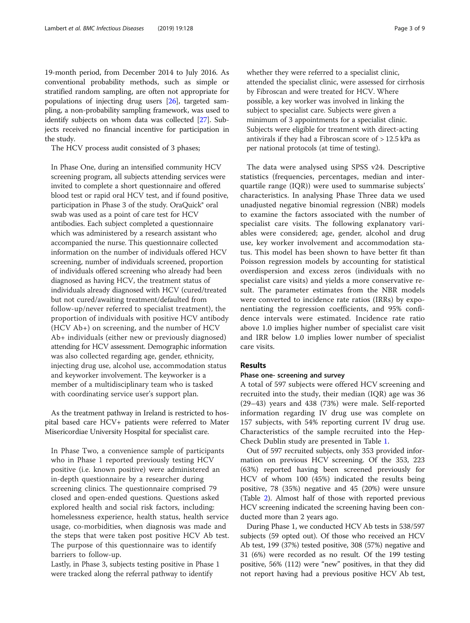19-month period, from December 2014 to July 2016. As conventional probability methods, such as simple or stratified random sampling, are often not appropriate for populations of injecting drug users [\[26](#page-8-0)], targeted sampling, a non-probability sampling framework, was used to identify subjects on whom data was collected [\[27\]](#page-8-0). Subjects received no financial incentive for participation in the study.

The HCV process audit consisted of 3 phases;

In Phase One, during an intensified community HCV screening program, all subjects attending services were invited to complete a short questionnaire and offered blood test or rapid oral HCV test, and if found positive, participation in Phase 3 of the study. OraQuick® oral swab was used as a point of care test for HCV antibodies. Each subject completed a questionnaire which was administered by a research assistant who accompanied the nurse. This questionnaire collected information on the number of individuals offered HCV screening, number of individuals screened, proportion of individuals offered screening who already had been diagnosed as having HCV, the treatment status of individuals already diagnosed with HCV (cured/treated but not cured/awaiting treatment/defaulted from follow-up/never referred to specialist treatment), the proportion of individuals with positive HCV antibody (HCV Ab+) on screening, and the number of HCV Ab+ individuals (either new or previously diagnosed) attending for HCV assessment. Demographic information was also collected regarding age, gender, ethnicity, injecting drug use, alcohol use, accommodation status and keyworker involvement. The keyworker is a member of a multidisciplinary team who is tasked with coordinating service user's support plan.

As the treatment pathway in Ireland is restricted to hospital based care HCV+ patients were referred to Mater Misericordiae University Hospital for specialist care.

In Phase Two, a convenience sample of participants who in Phase 1 reported previously testing HCV positive (i.e. known positive) were administered an in-depth questionnaire by a researcher during screening clinics. The questionnaire comprised 79 closed and open-ended questions. Questions asked explored health and social risk factors, including: homelessness experience, health status, health service usage, co-morbidities, when diagnosis was made and the steps that were taken post positive HCV Ab test. The purpose of this questionnaire was to identify barriers to follow-up.

Lastly, in Phase 3, subjects testing positive in Phase 1 were tracked along the referral pathway to identify

whether they were referred to a specialist clinic, attended the specialist clinic, were assessed for cirrhosis by Fibroscan and were treated for HCV. Where possible, a key worker was involved in linking the subject to specialist care. Subjects were given a minimum of 3 appointments for a specialist clinic. Subjects were eligible for treatment with direct-acting antivirals if they had a Fibroscan score of  $> 12.5$  kPa as per national protocols (at time of testing).

The data were analysed using SPSS v24. Descriptive statistics (frequencies, percentages, median and interquartile range (IQR)) were used to summarise subjects' characteristics. In analysing Phase Three data we used unadjusted negative binomial regression (NBR) models to examine the factors associated with the number of specialist care visits. The following explanatory variables were considered; age, gender, alcohol and drug use, key worker involvement and accommodation status. This model has been shown to have better fit than Poisson regression models by accounting for statistical overdispersion and excess zeros (individuals with no specialist care visits) and yields a more conservative result. The parameter estimates from the NBR models were converted to incidence rate ratios (IRRs) by exponentiating the regression coefficients, and 95% confidence intervals were estimated. Incidence rate ratio above 1.0 implies higher number of specialist care visit and IRR below 1.0 implies lower number of specialist care visits.

### Results

#### Phase one- screening and survey

A total of 597 subjects were offered HCV screening and recruited into the study, their median (IQR) age was 36 (29–43) years and 438 (73%) were male. Self-reported information regarding IV drug use was complete on 157 subjects, with 54% reporting current IV drug use. Characteristics of the sample recruited into the Hep-Check Dublin study are presented in Table [1](#page-3-0).

Out of 597 recruited subjects, only 353 provided information on previous HCV screening. Of the 353, 223 (63%) reported having been screened previously for HCV of whom 100 (45%) indicated the results being positive, 78 (35%) negative and 45 (20%) were unsure (Table [2\)](#page-3-0). Almost half of those with reported previous HCV screening indicated the screening having been conducted more than 2 years ago.

During Phase 1, we conducted HCV Ab tests in 538/597 subjects (59 opted out). Of those who received an HCV Ab test, 199 (37%) tested positive, 308 (57%) negative and 31 (6%) were recorded as no result. Of the 199 testing positive, 56% (112) were "new" positives, in that they did not report having had a previous positive HCV Ab test,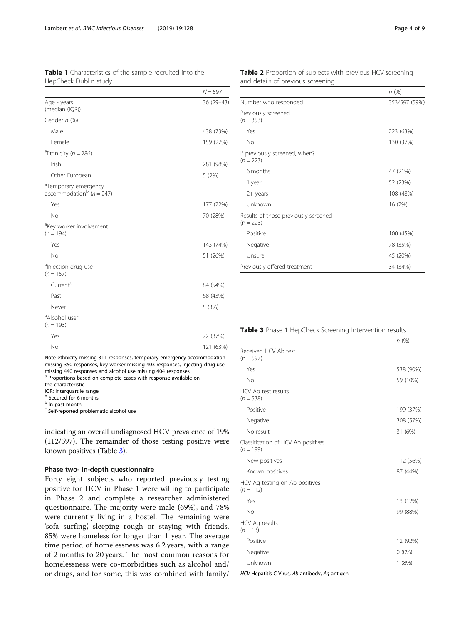Yes 72 (37%) No 121 (63%) Note ethnicity missing 311 responses, temporary emergency accommodation

missing 350 responses, key worker missing 403 responses, injecting drug use missing 440 responses and alcohol use missing 404 responses <sup>a</sup> Proportions based on complete cases with response available on

the characteristic

<sup>a</sup>Alcohol use<sup>c</sup>  $(n = 193)$ 

IQR: interquartile range

<sup>3</sup> Secured for 6 months

**b** In past month

<sup>c</sup> Self-reported problematic alcohol use

indicating an overall undiagnosed HCV prevalence of 19% (112/597). The remainder of those testing positive were known positives (Table 3).

#### Phase two- in-depth questionnaire

Forty eight subjects who reported previously testing positive for HCV in Phase 1 were willing to participate in Phase 2 and complete a researcher administered questionnaire. The majority were male (69%), and 78% were currently living in a hostel. The remaining were 'sofa surfing', sleeping rough or staying with friends. 85% were homeless for longer than 1 year. The average time period of homelessness was 6.2 years, with a range of 2 months to 20 years. The most common reasons for homelessness were co-morbidities such as alcohol and/ or drugs, and for some, this was combined with family/ Table 2 Proportion of subjects with previous HCV screening and details of previous screening

|                                                     | n(%)          |
|-----------------------------------------------------|---------------|
| Number who responded                                | 353/597 (59%) |
| Previously screened<br>$(n = 353)$                  |               |
| Yes                                                 | 223 (63%)     |
| No                                                  | 130 (37%)     |
| If previously screened, when?<br>$(n = 223)$        |               |
| 6 months                                            | 47 (21%)      |
| 1 year                                              | 52 (23%)      |
| $2+$ years                                          | 108 (48%)     |
| Unknown                                             | 16 (7%)       |
| Results of those previously screened<br>$(n = 223)$ |               |
| Positive                                            | 100 (45%)     |
| Negative                                            | 78 (35%)      |
| Unsure                                              | 45 (20%)      |
| Previously offered treatment                        | 34 (34%)      |

#### Table 3 Phase 1 HepCheck Screening Intervention results

|                                                   | n(%)      |
|---------------------------------------------------|-----------|
| Received HCV Ab test                              |           |
| $(n = 597)$                                       |           |
| Yes                                               | 538 (90%) |
| No                                                | 59 (10%)  |
| HCV Ab test results<br>$(n = 538)$                |           |
| Positive                                          | 199 (37%) |
| Negative                                          | 308 (57%) |
| No result                                         | 31 (6%)   |
| Classification of HCV Ab positives<br>$(n = 199)$ |           |
| New positives                                     | 112 (56%) |
| Known positives                                   | 87 (44%)  |
| HCV Ag testing on Ab positives<br>$(n = 112)$     |           |
| Yes                                               | 13 (12%)  |
| <b>No</b>                                         | 99 (88%)  |
| HCV Ag results<br>$(n = 13)$                      |           |
| Positive                                          | 12 (92%)  |
| Negative                                          | $0(0\%)$  |
| Unknown                                           | 1(8%)     |

HCV Hepatitis C Virus, Ab antibody, Ag antigen

<span id="page-3-0"></span>Table 1 Characteristics of the sample recruited into the

Male 438 (73%) Female 159 (27%)

Irish 281 (98%) Other European 5 (2%)

Yes 177 (72%) No 70 (28%)

Yes 143 (74%) No 51 (26%)

 $Current<sup>b</sup>$  84 (54%) Past 68 (43%) Never 5 (3%)

 $N = 597$ 

36 (29–43)

HepCheck Dublin study

Age - years (median (IQR))

Gender n (%)

<sup>a</sup>Ethnicity ( $n = 286$ )

<sup>a</sup>Temporary emergency  $\arccom$ modation<sup>b</sup> (n = 247)

<sup>a</sup>Key worker involvement

<sup>a</sup>Injection drug use  $(n = 157)$ 

 $(n = 194)$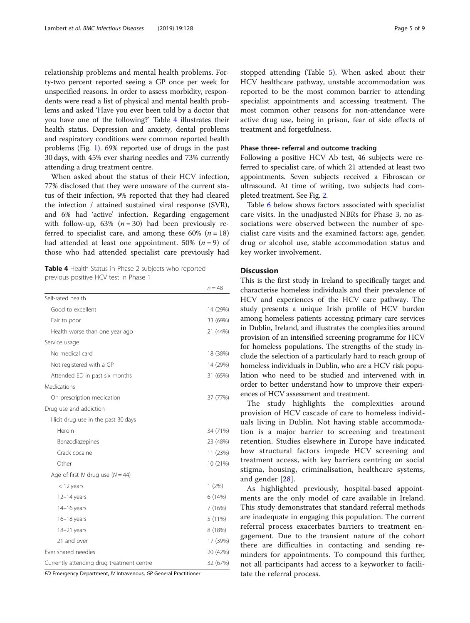relationship problems and mental health problems. Forty-two percent reported seeing a GP once per week for unspecified reasons. In order to assess morbidity, respondents were read a list of physical and mental health problems and asked 'Have you ever been told by a doctor that you have one of the following?' Table 4 illustrates their health status. Depression and anxiety, dental problems and respiratory conditions were common reported health problems (Fig. [1\)](#page-5-0). 69% reported use of drugs in the past 30 days, with 45% ever sharing needles and 73% currently attending a drug treatment centre.

When asked about the status of their HCV infection, 77% disclosed that they were unaware of the current status of their infection, 9% reported that they had cleared the infection / attained sustained viral response (SVR), and 6% had 'active' infection. Regarding engagement with follow-up, 63% ( $n = 30$ ) had been previously referred to specialist care, and among these 60% ( $n = 18$ ) had attended at least one appointment. 50%  $(n = 9)$  of those who had attended specialist care previously had

Table 4 Health Status in Phase 2 subjects who reported previous positive HCV test in Phase 1

|                                           | $n = 48$ |
|-------------------------------------------|----------|
| Self-rated health                         |          |
| Good to excellent                         | 14 (29%) |
| Fair to poor                              | 33 (69%) |
| Health worse than one year ago            | 21 (44%) |
| Service usage                             |          |
| No medical card                           | 18 (38%) |
| Not registered with a GP                  | 14 (29%) |
| Attended ED in past six months            | 31 (65%) |
| Medications                               |          |
| On prescription medication                | 37 (77%) |
| Drug use and addiction                    |          |
| Illicit drug use in the past 30 days      |          |
| Heroin                                    | 34 (71%) |
| Benzodiazepines                           | 23 (48%) |
| Crack cocaine                             | 11 (23%) |
| Other                                     | 10 (21%) |
| Age of first IV drug use $(N = 44)$       |          |
| $<$ 12 years                              | 1(2%)    |
| $12-14$ years                             | 6(14%)   |
| $14-16$ years                             | 7(16%)   |
| $16-18$ years                             | 5 (11%)  |
| 18-21 years                               | 8 (18%)  |
| 21 and over                               | 17 (39%) |
| Ever shared needles                       | 20 (42%) |
| Currently attending drug treatment centre | 32 (67%) |

ED Emergency Department, IV Intravenous, GP General Practitioner

stopped attending (Table [5\)](#page-5-0). When asked about their HCV healthcare pathway, unstable accommodation was reported to be the most common barrier to attending specialist appointments and accessing treatment. The most common other reasons for non-attendance were active drug use, being in prison, fear of side effects of treatment and forgetfulness.

#### Phase three- referral and outcome tracking

Following a positive HCV Ab test, 46 subjects were referred to specialist care, of which 21 attended at least two appointments. Seven subjects received a Fibroscan or ultrasound. At time of writing, two subjects had completed treatment. See Fig. [2](#page-6-0).

Table [6](#page-6-0) below shows factors associated with specialist care visits. In the unadjusted NBRs for Phase 3, no associations were observed between the number of specialist care visits and the examined factors: age, gender, drug or alcohol use, stable accommodation status and key worker involvement.

#### **Discussion**

This is the first study in Ireland to specifically target and characterise homeless individuals and their prevalence of HCV and experiences of the HCV care pathway. The study presents a unique Irish profile of HCV burden among homeless patients accessing primary care services in Dublin, Ireland, and illustrates the complexities around provision of an intensified screening programme for HCV for homeless populations. The strengths of the study include the selection of a particularly hard to reach group of homeless individuals in Dublin, who are a HCV risk population who need to be studied and intervened with in order to better understand how to improve their experiences of HCV assessment and treatment.

The study highlights the complexities around provision of HCV cascade of care to homeless individuals living in Dublin. Not having stable accommodation is a major barrier to screening and treatment retention. Studies elsewhere in Europe have indicated how structural factors impede HCV screening and treatment access, with key barriers centring on social stigma, housing, criminalisation, healthcare systems, and gender [[28\]](#page-8-0).

As highlighted previously, hospital-based appointments are the only model of care available in Ireland. This study demonstrates that standard referral methods are inadequate in engaging this population. The current referral process exacerbates barriers to treatment engagement. Due to the transient nature of the cohort there are difficulties in contacting and sending reminders for appointments. To compound this further, not all participants had access to a keyworker to facilitate the referral process.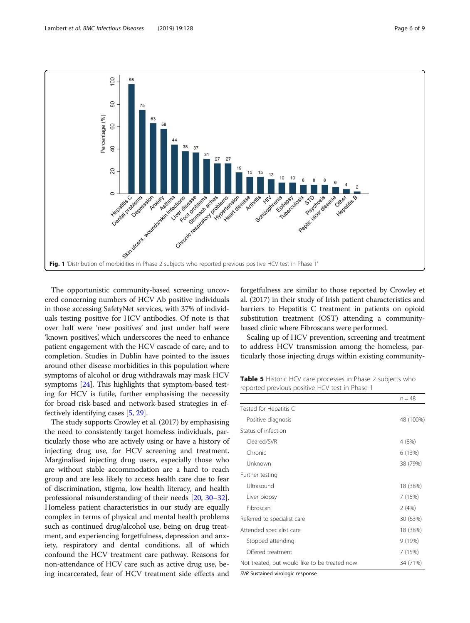<span id="page-5-0"></span>

The opportunistic community-based screening uncovered concerning numbers of HCV Ab positive individuals in those accessing SafetyNet services, with 37% of individuals testing positive for HCV antibodies. Of note is that over half were 'new positives' and just under half were 'known positives', which underscores the need to enhance patient engagement with the HCV cascade of care, and to completion. Studies in Dublin have pointed to the issues around other disease morbidities in this population where symptoms of alcohol or drug withdrawals may mask HCV symptoms [\[24](#page-8-0)]. This highlights that symptom-based testing for HCV is futile, further emphasising the necessity for broad risk-based and network-based strategies in effectively identifying cases [[5,](#page-7-0) [29](#page-8-0)].

The study supports Crowley et al. (2017) by emphasising the need to consistently target homeless individuals, particularly those who are actively using or have a history of injecting drug use, for HCV screening and treatment. Marginalised injecting drug users, especially those who are without stable accommodation are a hard to reach group and are less likely to access health care due to fear of discrimination, stigma, low health literacy, and health professional misunderstanding of their needs [\[20,](#page-8-0) [30](#page-8-0)–[32](#page-8-0)]. Homeless patient characteristics in our study are equally complex in terms of physical and mental health problems such as continued drug/alcohol use, being on drug treatment, and experiencing forgetfulness, depression and anxiety, respiratory and dental conditions, all of which confound the HCV treatment care pathway. Reasons for non-attendance of HCV care such as active drug use, being incarcerated, fear of HCV treatment side effects and

forgetfulness are similar to those reported by Crowley et al. (2017) in their study of Irish patient characteristics and barriers to Hepatitis C treatment in patients on opioid substitution treatment (OST) attending a communitybased clinic where Fibroscans were performed.

Scaling up of HCV prevention, screening and treatment to address HCV transmission among the homeless, particularly those injecting drugs within existing community-

Table 5 Historic HCV care processes in Phase 2 subjects who reported previous positive HCV test in Phase 1

|                                               | $n = 48$  |
|-----------------------------------------------|-----------|
| Tested for Hepatitis C                        |           |
| Positive diagnosis                            | 48 (100%) |
| Status of infection                           |           |
| Cleared/SVR                                   | 4 (8%)    |
| Chronic                                       | 6(13%)    |
| Unknown                                       | 38 (79%)  |
| Further testing                               |           |
| Ultrasound                                    | 18 (38%)  |
| Liver biopsy                                  | 7 (15%)   |
| Fibroscan                                     | 2(4%)     |
| Referred to specialist care                   | 30 (63%)  |
| Attended specialist care                      | 18 (38%)  |
| Stopped attending                             | 9 (19%)   |
| Offered treatment                             | 7 (15%)   |
| Not treated, but would like to be treated now | 34 (71%)  |

SVR Sustained virologic response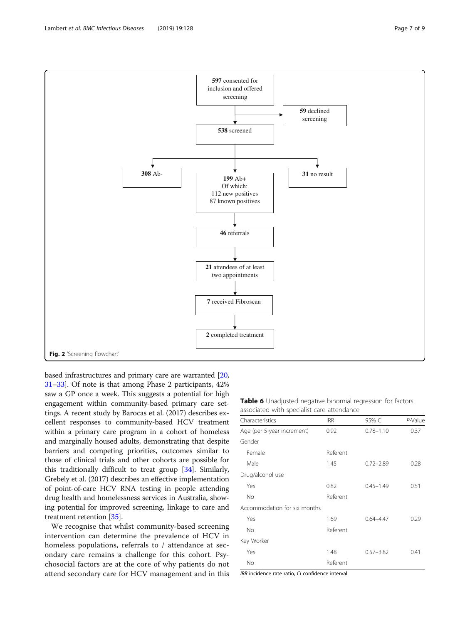based infrastructures and primary care are warranted [[20](#page-8-0), [31](#page-8-0)–[33\]](#page-8-0). Of note is that among Phase 2 participants, 42% saw a GP once a week. This suggests a potential for high engagement within community-based primary care settings. A recent study by Barocas et al. (2017) describes excellent responses to community-based HCV treatment within a primary care program in a cohort of homeless and marginally housed adults, demonstrating that despite barriers and competing priorities, outcomes similar to those of clinical trials and other cohorts are possible for this traditionally difficult to treat group [\[34](#page-8-0)]. Similarly, Grebely et al. (2017) describes an effective implementation of point-of-care HCV RNA testing in people attending drug health and homelessness services in Australia, showing potential for improved screening, linkage to care and treatment retention [[35](#page-8-0)].

We recognise that whilst community-based screening intervention can determine the prevalence of HCV in homeless populations, referrals to / attendance at secondary care remains a challenge for this cohort. Psychosocial factors are at the core of why patients do not attend secondary care for HCV management and in this

| Table 6 Unadjusted negative binomial regression for factors |  |  |  |
|-------------------------------------------------------------|--|--|--|
| associated with specialist care attendance                  |  |  |  |

| Characteristics              | <b>IRR</b> | 95% CI        | P-Value |  |  |
|------------------------------|------------|---------------|---------|--|--|
| Age (per 5-year increment)   | 0.92       | $0.78 - 1.10$ | 0.37    |  |  |
| Gender                       |            |               |         |  |  |
| Female                       | Referent   |               |         |  |  |
| Male                         | 1.45       | $0.72 - 2.89$ | 0.28    |  |  |
| Drug/alcohol use             |            |               |         |  |  |
| Yes                          | 0.82       | $0.45 - 1.49$ | 0.51    |  |  |
| No                           | Referent   |               |         |  |  |
| Accommodation for six months |            |               |         |  |  |
| Yes                          | 1.69       | $0.64 - 4.47$ | 0.29    |  |  |
| No                           | Referent   |               |         |  |  |
| Key Worker                   |            |               |         |  |  |
| Yes                          | 1.48       | $0.57 - 3.82$ | 0.41    |  |  |
| No                           | Referent   |               |         |  |  |

IRR incidence rate ratio, CI confidence interval

<span id="page-6-0"></span>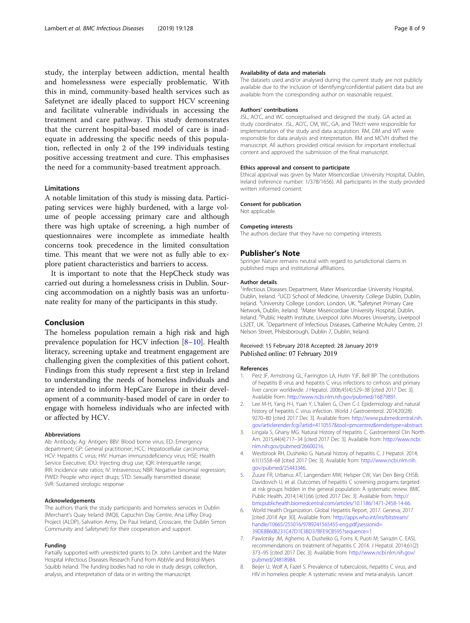<span id="page-7-0"></span>study, the interplay between addiction, mental health and homelessness were especially problematic. With this in mind, community-based health services such as Safetynet are ideally placed to support HCV screening and facilitate vulnerable individuals in accessing the treatment and care pathway. This study demonstrates that the current hospital-based model of care is inadequate in addressing the specific needs of this population, reflected in only 2 of the 199 individuals testing positive accessing treatment and cure. This emphasises the need for a community-based treatment approach.

#### Limitations

A notable limitation of this study is missing data. Participating services were highly burdened, with a large volume of people accessing primary care and although there was high uptake of screening, a high number of questionnaires were incomplete as immediate health concerns took precedence in the limited consultation time. This meant that we were not as fully able to explore patient characteristics and barriers to access.

It is important to note that the HepCheck study was carried out during a homelessness crisis in Dublin. Sourcing accommodation on a nightly basis was an unfortunate reality for many of the participants in this study.

#### Conclusion

The homeless population remain a high risk and high prevalence population for HCV infection [8–[10](#page-8-0)]. Health literacy, screening uptake and treatment engagement are challenging given the complexities of this patient cohort. Findings from this study represent a first step in Ireland to understanding the needs of homeless individuals and are intended to inform HepCare Europe in their development of a community-based model of care in order to engage with homeless individuals who are infected with or affected by HCV.

#### Abbreviations

Ab: Antibody; Ag: Antigen; BBV: Blood borne virus; ED: Emergency department; GP: General practitioner; HCC: Hepatocellular carcinoma; HCV: Hepatitis C virus; HIV: Human immunodeficiency virus; HSE: Health Service Executive; IDU: Injecting drug use; IQR: Interquartile range; IRR: Incidence rate ratios; IV: Intravenous; NBR: Negative binomial regression; PWID: People who inject drugs; STD: Sexually transmitted disease; SVR: Sustained virologic response

#### Acknowledgements

The authors thank the study participants and homeless services in Dublin (Merchant's Quay Ireland (MQI), Capuchin Day Centre, Ana Liffey Drug Project (ALDP), Salvation Army, De Paul Ireland, Crosscare, the Dublin Simon Community and Safetynet) for their cooperation and support.

#### Funding

Partially supported with unrestricted grants to Dr. John Lambert and the Mater Hospital Infectious Diseases Research Fund from AbbVie and Bristol-Myers Squibb Ireland. The funding bodies had no role in study design, collection, analysis, and interpretation of data or in writing the manuscript.

#### Availability of data and materials

The datasets used and/or analysed during the current study are not publicly available due to the inclusion of identifying/confidential patient data but are available from the corresponding author on reasonable request.

#### Authors' contributions

JSL, AO'C, and WC conceptualised and designed the study. GA acted as study coordinator. JSL, AO'C, CM, WC, GA, and TMcH were responsible for implementation of the study and data acquisition. RM, DM and WT were responsible for data analysis and interpretation. RM and MCVH drafted the manuscript. All authors provided critical revision for important intellectual content and approved the submission of the final manuscript.

#### Ethics approval and consent to participate

Ethical approval was given by Mater Misericordiae University Hospital, Dublin, Ireland (reference number: 1/378/1656). All participants in the study provided written informed consent.

#### Consent for publication

Not applicable.

#### Competing interests

The authors declare that they have no competing interests.

#### Publisher's Note

Springer Nature remains neutral with regard to jurisdictional claims in published maps and institutional affiliations.

#### Author details

<sup>1</sup>Infectious Diseases Department, Mater Misericordiae University Hospital Dublin, Ireland. <sup>2</sup>UCD School of Medicine, University College Dublin, Dublin Ireland. <sup>3</sup>University College London, London, UK. <sup>4</sup>Safetynet Primary Care Network, Dublin, Ireland. <sup>5</sup>Mater Misericordiae University Hospital, Dublin, Ireland. <sup>6</sup>Public Health Institute, Liverpool John Moores University, Liverpool L32ET, UK. <sup>7</sup>Department of Infectious Diseases, Catherine McAuley Centre, 21 Nelson Street, Phibsborough, Dublin 7, Dublin, Ireland.

#### Received: 15 February 2018 Accepted: 28 January 2019 Published online: 07 February 2019

#### References

- 1. Perz JF, Armstrong GL, Farrington LA, Hutin YJF, Bell BP. The contributions of hepatitis B virus and hepatitis C virus infections to cirrhosis and primary liver cancer worldwide. J Hepatol. 2006;45(4):529–38 [cited 2017 Dec 3]. Available from: <http://www.ncbi.nlm.nih.gov/pubmed/16879891>.
- 2. Lee M-H, Yang H-I, Yuan Y, L'Italien G, Chen C-J. Epidemiology and natural history of hepatitis C virus infection. World J Gastroenterol. 2014;20(28): 9270–80 [cited 2017 Dec 3]. Available from: [http://www.pubmedcentral.nih.](http://www.pubmedcentral.nih.gov/articlerender.fcgi?artid=4110557&tool=pmcentrez&rendertype=abstract) [gov/articlerender.fcgi?artid=4110557&tool=pmcentrez&rendertype=abstract](http://www.pubmedcentral.nih.gov/articlerender.fcgi?artid=4110557&tool=pmcentrez&rendertype=abstract).
- 3. Lingala S, Ghany MG. Natural History of Hepatitis C. Gastroenterol Clin North Am. 2015;44(4):717–34 [cited 2017 Dec 3]. Available from: [http://www.ncbi.](http://www.ncbi.nlm.nih.gov/pubmed/26600216) [nlm.nih.gov/pubmed/26600216.](http://www.ncbi.nlm.nih.gov/pubmed/26600216)
- 4. Westbrook RH, Dusheiko G. Natural history of hepatitis C. J Hepatol. 2014; 61(1):S58–68 [cited 2017 Dec 3]. Available from: [http://www.ncbi.nlm.nih.](http://www.ncbi.nlm.nih.gov/pubmed/25443346) [gov/pubmed/25443346](http://www.ncbi.nlm.nih.gov/pubmed/25443346).
- 5. Zuure FR, Urbanus AT, Langendam MW, Helsper CW, Van Den Berg CHSB, Davidovich U, et al. Outcomes of hepatitis C screening programs targeted at risk groups hidden in the general population: A systematic review. BMC Public Health. 2014;14(1):66 [cited 2017 Dec 3]. Available from: [http://](http://bmcpublichealth.biomedcentral.com/articles/10.1186/1471-2458-14-66) [bmcpublichealth.biomedcentral.com/articles/10.1186/1471-2458-14-66.](http://bmcpublichealth.biomedcentral.com/articles/10.1186/1471-2458-14-66)
- 6. World Health Organization. Global Hepatitis Report, 2017. Geneva; 2017 [cited 2018 Apr 30]. Available from: [http://apps.who.int/iris/bitstream/](http://apps.who.int/iris/bitstream/handle/10665/255016/9789241565455-eng.pdf;jsessionid=39DE8B60B231C47D1E3BD37BFE9CB595?sequence=1) [handle/10665/255016/9789241565455-eng.pdf;jsessionid=](http://apps.who.int/iris/bitstream/handle/10665/255016/9789241565455-eng.pdf;jsessionid=39DE8B60B231C47D1E3BD37BFE9CB595?sequence=1) [39DE8B60B231C47D1E3BD37BFE9CB595?sequence=1](http://apps.who.int/iris/bitstream/handle/10665/255016/9789241565455-eng.pdf;jsessionid=39DE8B60B231C47D1E3BD37BFE9CB595?sequence=1)
- 7. Pawlotsky JM, Aghemo A, Dusheiko G, Forns X, Puoti M, Sarrazin C. EASL recommendations on treatment of hepatitis C 2014. J Hepatol. 2014;61(2): 373–95 [cited 2017 Dec 3]. Available from: [http://www.ncbi.nlm.nih.gov/](http://www.ncbi.nlm.nih.gov/pubmed/24818984) [pubmed/24818984.](http://www.ncbi.nlm.nih.gov/pubmed/24818984)
- 8. Beijer U, Wolf A, Fazel S. Prevalence of tuberculosis, hepatitis C virus, and HIV in homeless people: A systematic review and meta-analysis. Lancet